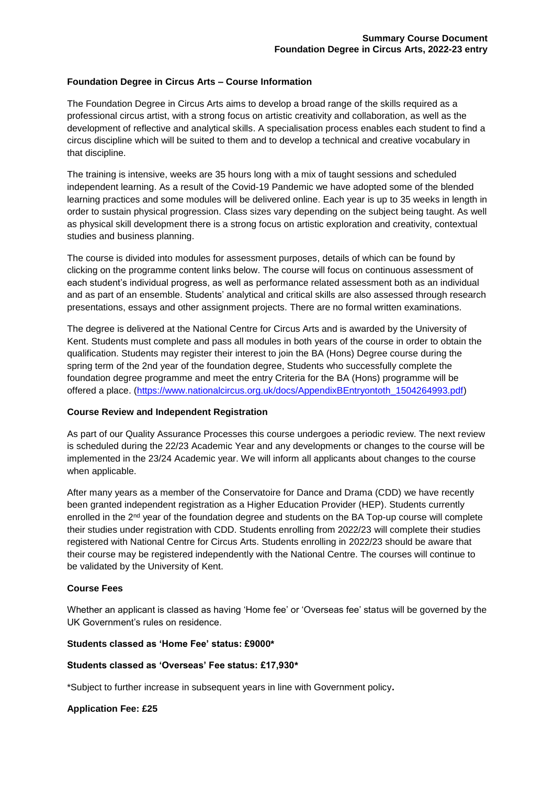### **Foundation Degree in Circus Arts – Course Information**

The Foundation Degree in Circus Arts aims to develop a broad range of the skills required as a professional circus artist, with a strong focus on artistic creativity and collaboration, as well as the development of reflective and analytical skills. A specialisation process enables each student to find a circus discipline which will be suited to them and to develop a technical and creative vocabulary in that discipline.

The training is intensive, weeks are 35 hours long with a mix of taught sessions and scheduled independent learning. As a result of the Covid-19 Pandemic we have adopted some of the blended learning practices and some modules will be delivered online. Each year is up to 35 weeks in length in order to sustain physical progression. Class sizes vary depending on the subject being taught. As well as physical skill development there is a strong focus on artistic exploration and creativity, contextual studies and business planning.

The course is divided into modules for assessment purposes, details of which can be found by clicking on the programme content links below. The course will focus on continuous assessment of each student's individual progress, as well as performance related assessment both as an individual and as part of an ensemble. Students' analytical and critical skills are also assessed through research presentations, essays and other assignment projects. There are no formal written examinations.

The degree is delivered at the National Centre for Circus Arts and is awarded by the University of Kent. Students must complete and pass all modules in both years of the course in order to obtain the qualification. Students may register their interest to join the BA (Hons) Degree course during the spring term of the 2nd year of the foundation degree, Students who successfully complete the foundation degree programme and meet the entry Criteria for the BA (Hons) programme will be offered a place. [\(https://www.nationalcircus.org.uk/docs/AppendixBEntryontoth\\_1504264993.pdf\)](https://www.nationalcircus.org.uk/docs/AppendixBEntryontoth_1504264993.pdf)

#### **Course Review and Independent Registration**

As part of our Quality Assurance Processes this course undergoes a periodic review. The next review is scheduled during the 22/23 Academic Year and any developments or changes to the course will be implemented in the 23/24 Academic year. We will inform all applicants about changes to the course when applicable.

After many years as a member of the Conservatoire for Dance and Drama (CDD) we have recently been granted independent registration as a Higher Education Provider (HEP). Students currently enrolled in the 2<sup>nd</sup> year of the foundation degree and students on the BA Top-up course will complete their studies under registration with CDD. Students enrolling from 2022/23 will complete their studies registered with National Centre for Circus Arts. Students enrolling in 2022/23 should be aware that their course may be registered independently with the National Centre. The courses will continue to be validated by the University of Kent.

#### **Course Fees**

Whether an applicant is classed as having 'Home fee' or 'Overseas fee' status will be governed by the UK Government's rules on residence.

#### **Students classed as 'Home Fee' status: £9000\***

#### **Students classed as 'Overseas' Fee status: £17,930\***

\*Subject to further increase in subsequent years in line with Government policy**.**

#### **Application Fee: £25**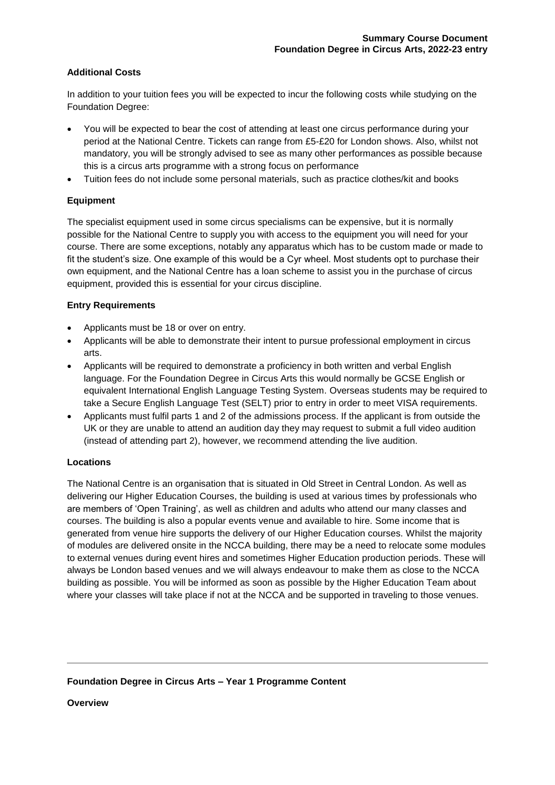# **Additional Costs**

In addition to your tuition fees you will be expected to incur the following costs while studying on the Foundation Degree:

- You will be expected to bear the cost of attending at least one circus performance during your period at the National Centre. Tickets can range from £5-£20 for London shows. Also, whilst not mandatory, you will be strongly advised to see as many other performances as possible because this is a circus arts programme with a strong focus on performance
- Tuition fees do not include some personal materials, such as practice clothes/kit and books

# **Equipment**

The specialist equipment used in some circus specialisms can be expensive, but it is normally possible for the National Centre to supply you with access to the equipment you will need for your course. There are some exceptions, notably any apparatus which has to be custom made or made to fit the student's size. One example of this would be a Cyr wheel. Most students opt to purchase their own equipment, and the National Centre has a loan scheme to assist you in the purchase of circus equipment, provided this is essential for your circus discipline.

# **Entry Requirements**

- Applicants must be 18 or over on entry.
- Applicants will be able to demonstrate their intent to pursue professional employment in circus arts.
- Applicants will be required to demonstrate a proficiency in both written and verbal English language. For the Foundation Degree in Circus Arts this would normally be GCSE English or equivalent International English Language Testing System. Overseas students may be required to take a Secure English Language Test (SELT) prior to entry in order to meet VISA requirements.
- Applicants must fulfil parts 1 and 2 of the admissions process. If the applicant is from outside the UK or they are unable to attend an audition day they may request to submit a full video audition (instead of attending part 2), however, we recommend attending the live audition.

### **Locations**

The National Centre is an organisation that is situated in Old Street in Central London. As well as delivering our Higher Education Courses, the building is used at various times by professionals who are members of 'Open Training', as well as children and adults who attend our many classes and courses. The building is also a popular events venue and available to hire. Some income that is generated from venue hire supports the delivery of our Higher Education courses. Whilst the majority of modules are delivered onsite in the NCCA building, there may be a need to relocate some modules to external venues during event hires and sometimes Higher Education production periods. These will always be London based venues and we will always endeavour to make them as close to the NCCA building as possible. You will be informed as soon as possible by the Higher Education Team about where your classes will take place if not at the NCCA and be supported in traveling to those venues.

### **Foundation Degree in Circus Arts – Year 1 Programme Content**

**Overview**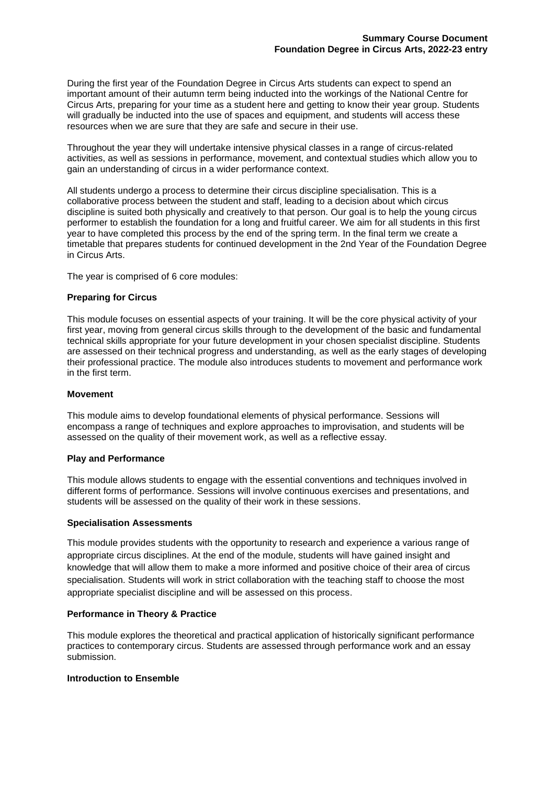During the first year of the Foundation Degree in Circus Arts students can expect to spend an important amount of their autumn term being inducted into the workings of the National Centre for Circus Arts, preparing for your time as a student here and getting to know their year group. Students will gradually be inducted into the use of spaces and equipment, and students will access these resources when we are sure that they are safe and secure in their use.

Throughout the year they will undertake intensive physical classes in a range of circus-related activities, as well as sessions in performance, movement, and contextual studies which allow you to gain an understanding of circus in a wider performance context.

All students undergo a process to determine their circus discipline specialisation. This is a collaborative process between the student and staff, leading to a decision about which circus discipline is suited both physically and creatively to that person. Our goal is to help the young circus performer to establish the foundation for a long and fruitful career. We aim for all students in this first year to have completed this process by the end of the spring term. In the final term we create a timetable that prepares students for continued development in the 2nd Year of the Foundation Degree in Circus Arts.

The year is comprised of 6 core modules:

#### **Preparing for Circus**

This module focuses on essential aspects of your training. It will be the core physical activity of your first year, moving from general circus skills through to the development of the basic and fundamental technical skills appropriate for your future development in your chosen specialist discipline. Students are assessed on their technical progress and understanding, as well as the early stages of developing their professional practice. The module also introduces students to movement and performance work in the first term.

#### **Movement**

This module aims to develop foundational elements of physical performance. Sessions will encompass a range of techniques and explore approaches to improvisation, and students will be assessed on the quality of their movement work, as well as a reflective essay.

#### **Play and Performance**

This module allows students to engage with the essential conventions and techniques involved in different forms of performance. Sessions will involve continuous exercises and presentations, and students will be assessed on the quality of their work in these sessions.

#### **Specialisation Assessments**

This module provides students with the opportunity to research and experience a various range of appropriate circus disciplines. At the end of the module, students will have gained insight and knowledge that will allow them to make a more informed and positive choice of their area of circus specialisation. Students will work in strict collaboration with the teaching staff to choose the most appropriate specialist discipline and will be assessed on this process.

#### **Performance in Theory & Practice**

This module explores the theoretical and practical application of historically significant performance practices to contemporary circus. Students are assessed through performance work and an essay submission.

#### **Introduction to Ensemble**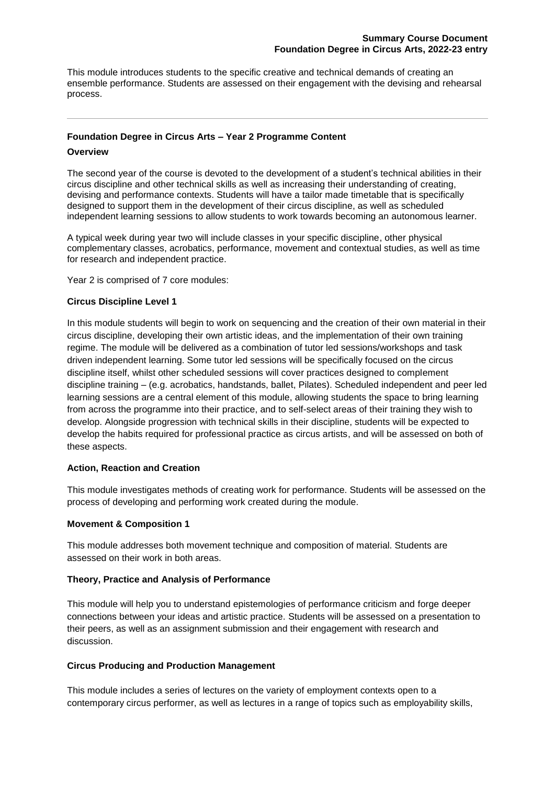This module introduces students to the specific creative and technical demands of creating an ensemble performance. Students are assessed on their engagement with the devising and rehearsal process.

# **Foundation Degree in Circus Arts – Year 2 Programme Content**

#### **Overview**

The second year of the course is devoted to the development of a student's technical abilities in their circus discipline and other technical skills as well as increasing their understanding of creating, devising and performance contexts. Students will have a tailor made timetable that is specifically designed to support them in the development of their circus discipline, as well as scheduled independent learning sessions to allow students to work towards becoming an autonomous learner.

A typical week during year two will include classes in your specific discipline, other physical complementary classes, acrobatics, performance, movement and contextual studies, as well as time for research and independent practice.

Year 2 is comprised of 7 core modules:

### **Circus Discipline Level 1**

In this module students will begin to work on sequencing and the creation of their own material in their circus discipline, developing their own artistic ideas, and the implementation of their own training regime. The module will be delivered as a combination of tutor led sessions/workshops and task driven independent learning. Some tutor led sessions will be specifically focused on the circus discipline itself, whilst other scheduled sessions will cover practices designed to complement discipline training – (e.g. acrobatics, handstands, ballet, Pilates). Scheduled independent and peer led learning sessions are a central element of this module, allowing students the space to bring learning from across the programme into their practice, and to self-select areas of their training they wish to develop. Alongside progression with technical skills in their discipline, students will be expected to develop the habits required for professional practice as circus artists, and will be assessed on both of these aspects.

### **Action, Reaction and Creation**

This module investigates methods of creating work for performance. Students will be assessed on the process of developing and performing work created during the module.

#### **Movement & Composition 1**

This module addresses both movement technique and composition of material. Students are assessed on their work in both areas.

### **Theory, Practice and Analysis of Performance**

This module will help you to understand epistemologies of performance criticism and forge deeper connections between your ideas and artistic practice. Students will be assessed on a presentation to their peers, as well as an assignment submission and their engagement with research and discussion.

### **Circus Producing and Production Management**

This module includes a series of lectures on the variety of employment contexts open to a contemporary circus performer, as well as lectures in a range of topics such as employability skills,